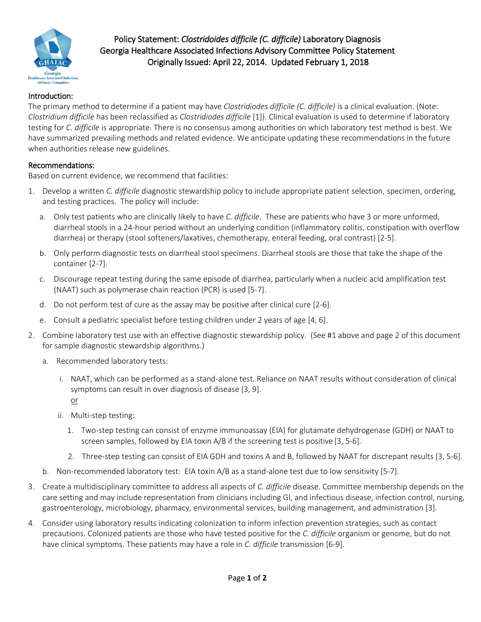

Policy Statement: *Clostridoides difficile (C. difficile)* Laboratory Diagnosis Georgia Healthcare Associated Infections Advisory Committee Policy Statement Originally Issued: April 22, 2014. Updated February 1, 2018

# Introduction:

The primary method to determine if a patient may have *Clostridiodes difficile (C. difficile)* is a clinical evaluation. (Note: *Clostridium difficile* has been reclassified as *Clostridiodes difficile* [1]). Clinical evaluation is used to determine if laboratory testing for *C. difficile* is appropriate. There is no consensus among authorities on which laboratory test method is best. We have summarized prevailing methods and related evidence. We anticipate updating these recommendations in the future when authorities release new guidelines.

### Recommendations:

Based on current evidence, we recommend that facilities:

- 1. Develop a written *C. difficile* diagnostic stewardship policy to include appropriate patient selection, specimen, ordering, and testing practices. The policy will include:
	- a. Only test patients who are clinically likely to have *C. difficile*. These are patients who have 3 or more unformed, diarrheal stools in a 24-hour period without an underlying condition (inflammatory colitis, constipation with overflow diarrhea) or therapy (stool softeners/laxatives, chemotherapy, enteral feeding, oral contrast) [2-5].
	- b. Only perform diagnostic tests on diarrheal stool specimens. Diarrheal stools are those that take the shape of the container [2-7].
	- c. Discourage repeat testing during the same episode of diarrhea, particularly when a nucleic acid amplification test (NAAT) such as polymerase chain reaction (PCR) is used [5-7].
	- d. Do not perform test of cure as the assay may be positive after clinical cure [2-6].
	- e. Consult a pediatric specialist before testing children under 2 years of age [4, 6].
- 2. Combine laboratory test use with an effective diagnostic stewardship policy. (See #1 above and page 2 of this document for sample diagnostic stewardship algorithms.)
	- a. Recommended laboratory tests:
		- i. NAAT, which can be performed as a stand-alone test. Reliance on NAAT results without consideration of clinical symptoms can result in over diagnosis of disease [3, 9]. or
		- ii. Multi-step testing:
			- 1. Two-step testing can consist of enzyme immunoassay (EIA) for glutamate dehydrogenase (GDH) or NAAT to screen samples, followed by EIA toxin A/B if the screening test is positive [3, 5-6].
			- 2. Three-step testing can consist of EIA GDH and toxins A and B, followed by NAAT for discrepant results [3, 5-6].
	- b. Non-recommended laboratory test: EIA toxin A/B as a stand-alone test due to low sensitivity [5-7].
- 3. Create a multidisciplinary committee to address all aspects of *C. difficile* disease. Committee membership depends on the care setting and may include representation from clinicians including GI, and infectious disease, infection control, nursing, gastroenterology, microbiology, pharmacy, environmental services, building management, and administration [3].
- 4. Consider using laboratory results indicating colonization to inform infection prevention strategies, such as contact precautions. Colonized patients are those who have tested positive for the *C. difficile* organism or genome, but do not have clinical symptoms. These patients may have a role in *C. difficile* transmission [6-9].